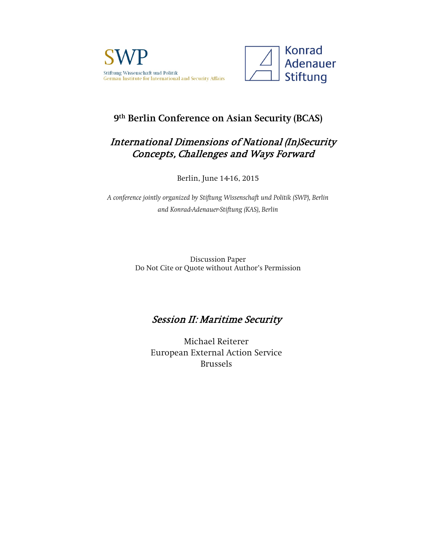



# **9th Berlin Conference on Asian Security (BCAS)**

# International Dimensions of National (In)Security Concepts, Challenges and Ways Forward

Berlin, June 14-16, 2015

*A conference jointly organized by Stiftung Wissenschaft und Politik (SWP), Berlin and Konrad-Adenauer-Stiftung (KAS), Berlin*

> Discussion Paper Do Not Cite or Quote without Author's Permission

# Session II: Maritime Security

Michael Reiterer European External Action Service Brussels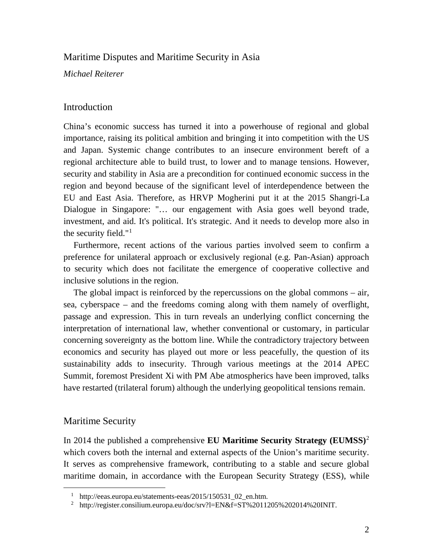## Maritime Disputes and Maritime Security in Asia

*Michael Reiterer*

### Introduction

China's economic success has turned it into a powerhouse of regional and global importance, raising its political ambition and bringing it into competition with the US and Japan. Systemic change contributes to an insecure environment bereft of a regional architecture able to build trust, to lower and to manage tensions. However, security and stability in Asia are a precondition for continued economic success in the region and beyond because of the significant level of interdependence between the EU and East Asia. Therefore, as HRVP Mogherini put it at the 2015 Shangri-La Dialogue in Singapore: "… our engagement with Asia goes well beyond trade, investment, and aid. It's political. It's strategic. And it needs to develop more also in the security field." $1$ 

Furthermore, recent actions of the various parties involved seem to confirm a preference for unilateral approach or exclusively regional (e.g. Pan-Asian) approach to security which does not facilitate the emergence of cooperative collective and inclusive solutions in the region.

The global impact is reinforced by the repercussions on the global commons – air, sea, cyberspace – and the freedoms coming along with them namely of overflight, passage and expression. This in turn reveals an underlying conflict concerning the interpretation of international law, whether conventional or customary, in particular concerning sovereignty as the bottom line. While the contradictory trajectory between economics and security has played out more or less peacefully, the question of its sustainability adds to insecurity. Through various meetings at the 2014 APEC Summit, foremost President Xi with PM Abe atmospherics have been improved, talks have restarted (trilateral forum) although the underlying geopolitical tensions remain.

## Maritime Security

In 2014 the published a comprehensive **EU Maritime Security Strategy (EUMSS)**[2](#page-1-1) which covers both the internal and external aspects of the Union's maritime security. It serves as comprehensive framework, contributing to a stable and secure global maritime domain, in accordance with the European Security Strategy (ESS), while

 <sup>1</sup> [http://eeas.europa.eu/statements-eeas/2015/150531\\_02\\_en.htm.](http://eeas.europa.eu/statements-eeas/2015/150531_02_en.htm)

<span id="page-1-1"></span><span id="page-1-0"></span><sup>&</sup>lt;sup>2</sup> [http://register.consilium.europa.eu/doc/srv?l=EN&f=ST%2011205%202014%20INIT.](http://register.consilium.europa.eu/doc/srv?l=EN&f=ST%2011205%202014%20INIT)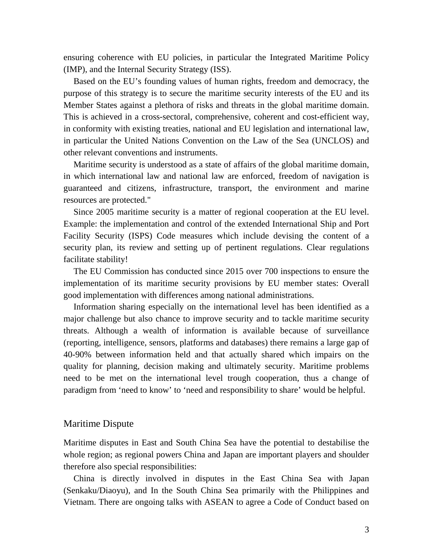ensuring coherence with EU policies, in particular the Integrated Maritime Policy (IMP), and the Internal Security Strategy (ISS).

Based on the EU's founding values of human rights, freedom and democracy, the purpose of this strategy is to secure the maritime security interests of the EU and its Member States against a plethora of risks and threats in the global maritime domain. This is achieved in a cross-sectoral, comprehensive, coherent and cost-efficient way, in conformity with existing treaties, national and EU legislation and international law, in particular the United Nations Convention on the Law of the Sea (UNCLOS) and other relevant conventions and instruments.

Maritime security is understood as a state of affairs of the global maritime domain, in which international law and national law are enforced, freedom of navigation is guaranteed and citizens, infrastructure, transport, the environment and marine resources are protected."

Since 2005 maritime security is a matter of regional cooperation at the EU level. Example: the implementation and control of the extended International Ship and Port Facility Security (ISPS) Code measures which include devising the content of a security plan, its review and setting up of pertinent regulations. Clear regulations facilitate stability!

The EU Commission has conducted since 2015 over 700 inspections to ensure the implementation of its maritime security provisions by EU member states: Overall good implementation with differences among national administrations.

Information sharing especially on the international level has been identified as a major challenge but also chance to improve security and to tackle maritime security threats. Although a wealth of information is available because of surveillance (reporting, intelligence, sensors, platforms and databases) there remains a large gap of 40-90% between information held and that actually shared which impairs on the quality for planning, decision making and ultimately security. Maritime problems need to be met on the international level trough cooperation, thus a change of paradigm from 'need to know' to 'need and responsibility to share' would be helpful.

## Maritime Dispute

Maritime disputes in East and South China Sea have the potential to destabilise the whole region; as regional powers China and Japan are important players and shoulder therefore also special responsibilities:

China is directly involved in disputes in the East China Sea with Japan (Senkaku/Diaoyu), and In the South China Sea primarily with the Philippines and Vietnam. There are ongoing talks with ASEAN to agree a Code of Conduct based on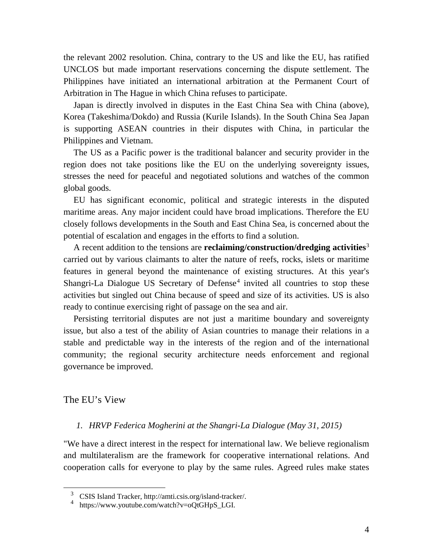the relevant 2002 resolution. China, contrary to the US and like the EU, has ratified UNCLOS but made important reservations concerning the dispute settlement. The Philippines have initiated an international arbitration at the Permanent Court of Arbitration in The Hague in which China refuses to participate.

Japan is directly involved in disputes in the East China Sea with China (above), Korea (Takeshima/Dokdo) and Russia (Kurile Islands). In the South China Sea Japan is supporting ASEAN countries in their disputes with China, in particular the Philippines and Vietnam.

The US as a Pacific power is the traditional balancer and security provider in the region does not take positions like the EU on the underlying sovereignty issues, stresses the need for peaceful and negotiated solutions and watches of the common global goods.

EU has significant economic, political and strategic interests in the disputed maritime areas. Any major incident could have broad implications. Therefore the EU closely follows developments in the South and East China Sea, is concerned about the potential of escalation and engages in the efforts to find a solution.

A recent addition to the tensions are **reclaiming/construction/dredging activities**[3](#page-3-0) carried out by various claimants to alter the nature of reefs, rocks, islets or maritime features in general beyond the maintenance of existing structures. At this year's Shangri-La Dialogue US Secretary of Defense<sup>[4](#page-3-1)</sup> invited all countries to stop these activities but singled out China because of speed and size of its activities. US is also ready to continue exercising right of passage on the sea and air.

Persisting territorial disputes are not just a maritime boundary and sovereignty issue, but also a test of the ability of Asian countries to manage their relations in a stable and predictable way in the interests of the region and of the international community; the regional security architecture needs enforcement and regional governance be improved.

The EU's View

#### *1. HRVP Federica Mogherini at the Shangri-La Dialogue (May 31, 2015)*

"We have a direct interest in the respect for international law. We believe regionalism and multilateralism are the framework for cooperative international relations. And cooperation calls for everyone to play by the same rules. Agreed rules make states

<span id="page-3-0"></span><sup>&</sup>lt;sup>3</sup> CSIS Island Tracker, [http://amti.csis.org/island-tracker/.](http://amti.csis.org/island-tracker/)<br><sup>4</sup> [https://www.youtube.com/watch?v=oQtGHpS\\_LGI.](https://www.youtube.com/watch?v=oQtGHpS_LGI)

<span id="page-3-1"></span>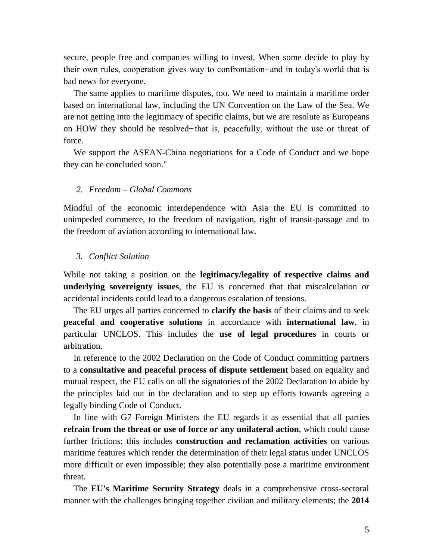secure, people free and companies willing to invest. When some decide to play by their own rules, cooperation gives way to confrontation ̶ and in today's world that is bad news for everyone.

The same applies to maritime disputes, too. We need to maintain a maritime order based on international law, including the UN Convention on the Law of the Sea. We are not getting into the legitimacy of specific claims, but we are resolute as Europeans on HOW they should be resolved hat is, peacefully, without the use or threat of force.

We support the ASEAN-China negotiations for a Code of Conduct and we hope they can be concluded soon."

#### *2. Freedom – Global Commons*

Mindful of the economic interdependence with Asia the EU is committed to unimpeded commerce, to the freedom of navigation, right of transit-passage and to the freedom of aviation according to international law.

#### *3. Conflict Solution*

While not taking a position on the **legitimacy/legality of respective claims and underlying sovereignty issues**, the EU is concerned that that miscalculation or accidental incidents could lead to a dangerous escalation of tensions.

The EU urges all parties concerned to **clarify the basis** of their claims and to seek **peaceful and cooperative solutions** in accordance with **international law**, in particular UNCLOS. This includes the **use of legal procedures** in courts or arbitration.

In reference to the 2002 Declaration on the Code of Conduct committing partners to a **consultative and peaceful process of dispute settlement** based on equality and mutual respect, the EU calls on all the signatories of the 2002 Declaration to abide by the principles laid out in the declaration and to step up efforts towards agreeing a legally binding Code of Conduct.

In line with G7 Foreign Ministers the EU regards it as essential that all parties **refrain from the threat or use of force or any unilateral action**, which could cause further frictions; this includes **construction and reclamation activities** on various maritime features which render the determination of their legal status under UNCLOS more difficult or even impossible; they also potentially pose a maritime environment threat.

The **EU's Maritime Security Strategy** deals in a comprehensive cross-sectoral manner with the challenges bringing together civilian and military elements; the **2014**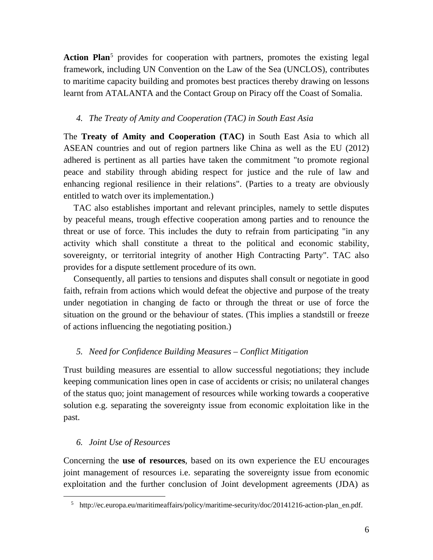Action Plan<sup>[5](#page-5-0)</sup> provides for cooperation with partners, promotes the existing legal framework, including UN Convention on the Law of the Sea (UNCLOS), contributes to maritime capacity building and promotes best practices thereby drawing on lessons learnt from ATALANTA and the Contact Group on Piracy off the Coast of Somalia.

#### *4. The Treaty of Amity and Cooperation (TAC) in South East Asia*

The **Treaty of Amity and Cooperation (TAC)** in South East Asia to which all ASEAN countries and out of region partners like China as well as the EU (2012) adhered is pertinent as all parties have taken the commitment "to promote regional peace and stability through abiding respect for justice and the rule of law and enhancing regional resilience in their relations". (Parties to a treaty are obviously entitled to watch over its implementation.)

TAC also establishes important and relevant principles, namely to settle disputes by peaceful means, trough effective cooperation among parties and to renounce the threat or use of force. This includes the duty to refrain from participating "in any activity which shall constitute a threat to the political and economic stability, sovereignty, or territorial integrity of another High Contracting Party". TAC also provides for a dispute settlement procedure of its own.

Consequently, all parties to tensions and disputes shall consult or negotiate in good faith, refrain from actions which would defeat the objective and purpose of the treaty under negotiation in changing de facto or through the threat or use of force the situation on the ground or the behaviour of states. (This implies a standstill or freeze of actions influencing the negotiating position.)

#### *5. Need for Confidence Building Measures – Conflict Mitigation*

Trust building measures are essential to allow successful negotiations; they include keeping communication lines open in case of accidents or crisis; no unilateral changes of the status quo; joint management of resources while working towards a cooperative solution e.g. separating the sovereignty issue from economic exploitation like in the past.

#### *6. Joint Use of Resources*

Concerning the **use of resources**, based on its own experience the EU encourages joint management of resources i.e. separating the sovereignty issue from economic exploitation and the further conclusion of Joint development agreements (JDA) as

<span id="page-5-0"></span> <sup>5</sup> http://ec.europa.eu/maritimeaffairs/policy/maritime-security/doc/20141216-action-plan\_en.pdf.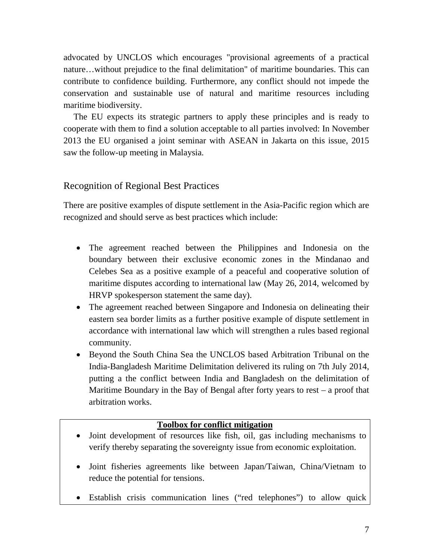advocated by UNCLOS which encourages "provisional agreements of a practical nature…without prejudice to the final delimitation" of maritime boundaries. This can contribute to confidence building. Furthermore, any conflict should not impede the conservation and sustainable use of natural and maritime resources including maritime biodiversity.

The EU expects its strategic partners to apply these principles and is ready to cooperate with them to find a solution acceptable to all parties involved: In November 2013 the EU organised a joint seminar with ASEAN in Jakarta on this issue, 2015 saw the follow-up meeting in Malaysia.

#### Recognition of Regional Best Practices

There are positive examples of dispute settlement in the Asia-Pacific region which are recognized and should serve as best practices which include:

- The agreement reached between the Philippines and Indonesia on the boundary between their exclusive economic zones in the Mindanao and Celebes Sea as a positive example of a peaceful and cooperative solution of maritime disputes according to international law (May 26, 2014, welcomed by HRVP spokesperson statement the same day).
- The agreement reached between Singapore and Indonesia on delineating their eastern sea border limits as a further positive example of dispute settlement in accordance with international law which will strengthen a rules based regional community.
- Beyond the South China Sea the UNCLOS based Arbitration Tribunal on the India-Bangladesh Maritime Delimitation delivered its ruling on 7th July 2014, putting a the conflict between India and Bangladesh on the delimitation of Maritime Boundary in the Bay of Bengal after forty years to rest – a proof that arbitration works.

#### **Toolbox for conflict mitigation**

- Joint development of resources like fish, oil, gas including mechanisms to verify thereby separating the sovereignty issue from economic exploitation.
- Joint fisheries agreements like between Japan/Taiwan, China/Vietnam to reduce the potential for tensions.
- Establish crisis communication lines ("red telephones") to allow quick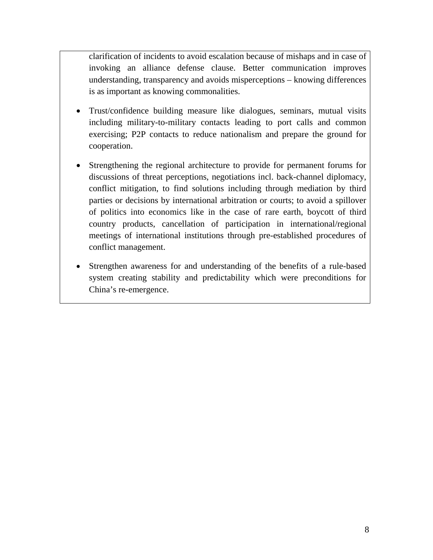clarification of incidents to avoid escalation because of mishaps and in case of invoking an alliance defense clause. Better communication improves understanding, transparency and avoids misperceptions – knowing differences is as important as knowing commonalities.

- Trust/confidence building measure like dialogues, seminars, mutual visits including military-to-military contacts leading to port calls and common exercising; P2P contacts to reduce nationalism and prepare the ground for cooperation.
- Strengthening the regional architecture to provide for permanent forums for discussions of threat perceptions, negotiations incl. back-channel diplomacy, conflict mitigation, to find solutions including through mediation by third parties or decisions by international arbitration or courts; to avoid a spillover of politics into economics like in the case of rare earth, boycott of third country products, cancellation of participation in international/regional meetings of international institutions through pre-established procedures of conflict management.
- Strengthen awareness for and understanding of the benefits of a rule-based system creating stability and predictability which were preconditions for China's re-emergence.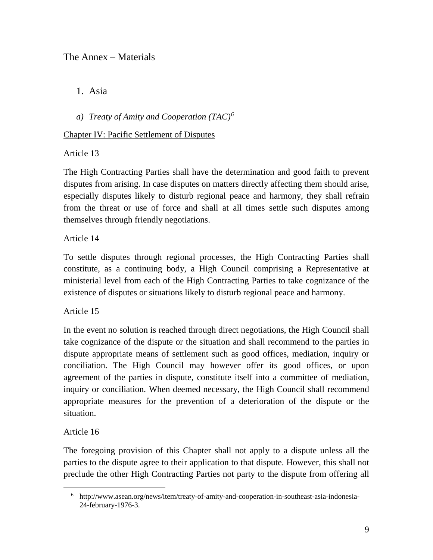# The Annex – Materials

1. Asia

*a) Treaty of Amity and Cooperation (TAC)[6](#page-8-0)*

## Chapter IV: Pacific Settlement of Disputes

Article 13

The High Contracting Parties shall have the determination and good faith to prevent disputes from arising. In case disputes on matters directly affecting them should arise, especially disputes likely to disturb regional peace and harmony, they shall refrain from the threat or use of force and shall at all times settle such disputes among themselves through friendly negotiations.

Article 14

To settle disputes through regional processes, the High Contracting Parties shall constitute, as a continuing body, a High Council comprising a Representative at ministerial level from each of the High Contracting Parties to take cognizance of the existence of disputes or situations likely to disturb regional peace and harmony.

Article 15

In the event no solution is reached through direct negotiations, the High Council shall take cognizance of the dispute or the situation and shall recommend to the parties in dispute appropriate means of settlement such as good offices, mediation, inquiry or conciliation. The High Council may however offer its good offices, or upon agreement of the parties in dispute, constitute itself into a committee of mediation, inquiry or conciliation. When deemed necessary, the High Council shall recommend appropriate measures for the prevention of a deterioration of the dispute or the situation.

Article 16

The foregoing provision of this Chapter shall not apply to a dispute unless all the parties to the dispute agree to their application to that dispute. However, this shall not preclude the other High Contracting Parties not party to the dispute from offering all

<span id="page-8-0"></span> <sup>6</sup> http://www.asean.org/news/item/treaty-of-amity-and-cooperation-in-southeast-asia-indonesia-24-february-1976-3.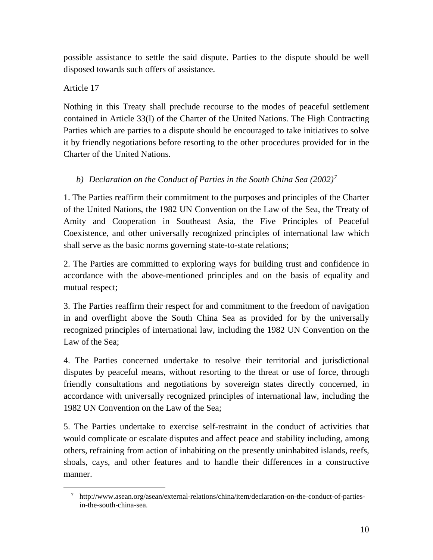possible assistance to settle the said dispute. Parties to the dispute should be well disposed towards such offers of assistance.

## Article 17

Nothing in this Treaty shall preclude recourse to the modes of peaceful settlement contained in Article 33(l) of the Charter of the United Nations. The High Contracting Parties which are parties to a dispute should be encouraged to take initiatives to solve it by friendly negotiations before resorting to the other procedures provided for in the Charter of the United Nations.

# *b) Declaration on the Conduct of Parties in the South China Sea (2002)[7](#page-9-0)*

1. The Parties reaffirm their commitment to the purposes and principles of the Charter of the United Nations, the 1982 UN Convention on the Law of the Sea, the Treaty of Amity and Cooperation in Southeast Asia, the Five Principles of Peaceful Coexistence, and other universally recognized principles of international law which shall serve as the basic norms governing state-to-state relations;

2. The Parties are committed to exploring ways for building trust and confidence in accordance with the above-mentioned principles and on the basis of equality and mutual respect;

3. The Parties reaffirm their respect for and commitment to the freedom of navigation in and overflight above the South China Sea as provided for by the universally recognized principles of international law, including the 1982 UN Convention on the Law of the Sea;

4. The Parties concerned undertake to resolve their territorial and jurisdictional disputes by peaceful means, without resorting to the threat or use of force, through friendly consultations and negotiations by sovereign states directly concerned, in accordance with universally recognized principles of international law, including the 1982 UN Convention on the Law of the Sea;

5. The Parties undertake to exercise self-restraint in the conduct of activities that would complicate or escalate disputes and affect peace and stability including, among others, refraining from action of inhabiting on the presently uninhabited islands, reefs, shoals, cays, and other features and to handle their differences in a constructive manner.

<span id="page-9-0"></span> <sup>7</sup> http://www.asean.org/asean/external-relations/china/item/declaration-on-the-conduct-of-partiesin-the-south-china-sea.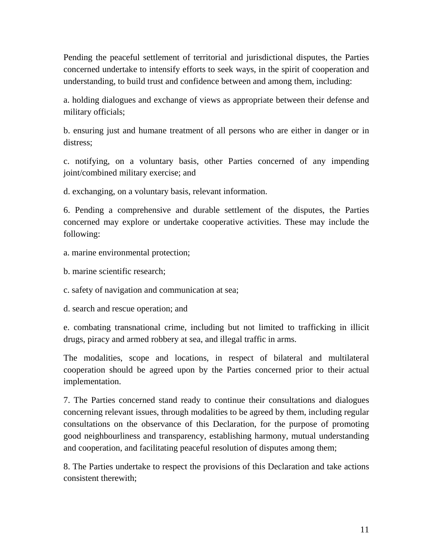Pending the peaceful settlement of territorial and jurisdictional disputes, the Parties concerned undertake to intensify efforts to seek ways, in the spirit of cooperation and understanding, to build trust and confidence between and among them, including:

a. holding dialogues and exchange of views as appropriate between their defense and military officials;

b. ensuring just and humane treatment of all persons who are either in danger or in distress;

c. notifying, on a voluntary basis, other Parties concerned of any impending joint/combined military exercise; and

d. exchanging, on a voluntary basis, relevant information.

6. Pending a comprehensive and durable settlement of the disputes, the Parties concerned may explore or undertake cooperative activities. These may include the following:

- a. marine environmental protection;
- b. marine scientific research;

c. safety of navigation and communication at sea;

d. search and rescue operation; and

e. combating transnational crime, including but not limited to trafficking in illicit drugs, piracy and armed robbery at sea, and illegal traffic in arms.

The modalities, scope and locations, in respect of bilateral and multilateral cooperation should be agreed upon by the Parties concerned prior to their actual implementation.

7. The Parties concerned stand ready to continue their consultations and dialogues concerning relevant issues, through modalities to be agreed by them, including regular consultations on the observance of this Declaration, for the purpose of promoting good neighbourliness and transparency, establishing harmony, mutual understanding and cooperation, and facilitating peaceful resolution of disputes among them;

8. The Parties undertake to respect the provisions of this Declaration and take actions consistent therewith;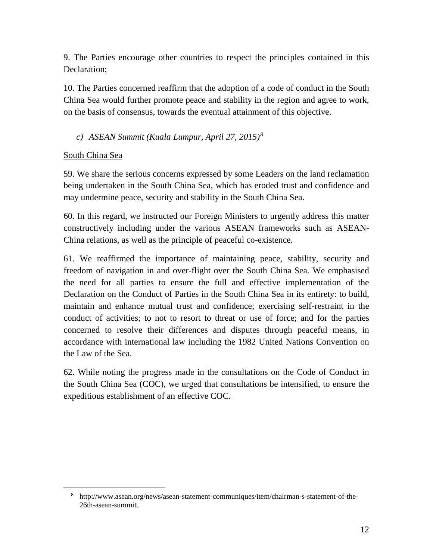9. The Parties encourage other countries to respect the principles contained in this Declaration;

10. The Parties concerned reaffirm that the adoption of a code of conduct in the South China Sea would further promote peace and stability in the region and agree to work, on the basis of consensus, towards the eventual attainment of this objective.

## *c) ASEAN Summit (Kuala Lumpur, April 27, 2015)[8](#page-11-0)*

#### South China Sea

59. We share the serious concerns expressed by some Leaders on the land reclamation being undertaken in the South China Sea, which has eroded trust and confidence and may undermine peace, security and stability in the South China Sea.

60. In this regard, we instructed our Foreign Ministers to urgently address this matter constructively including under the various ASEAN frameworks such as ASEAN-China relations, as well as the principle of peaceful co-existence.

61. We reaffirmed the importance of maintaining peace, stability, security and freedom of navigation in and over-flight over the South China Sea. We emphasised the need for all parties to ensure the full and effective implementation of the Declaration on the Conduct of Parties in the South China Sea in its entirety: to build, maintain and enhance mutual trust and confidence; exercising self-restraint in the conduct of activities; to not to resort to threat or use of force; and for the parties concerned to resolve their differences and disputes through peaceful means, in accordance with international law including the 1982 United Nations Convention on the Law of the Sea.

62. While noting the progress made in the consultations on the Code of Conduct in the South China Sea (COC), we urged that consultations be intensified, to ensure the expeditious establishment of an effective COC.

<span id="page-11-0"></span> <sup>8</sup> http://www.asean.org/news/asean-statement-communiques/item/chairman-s-statement-of-the-26th-asean-summit.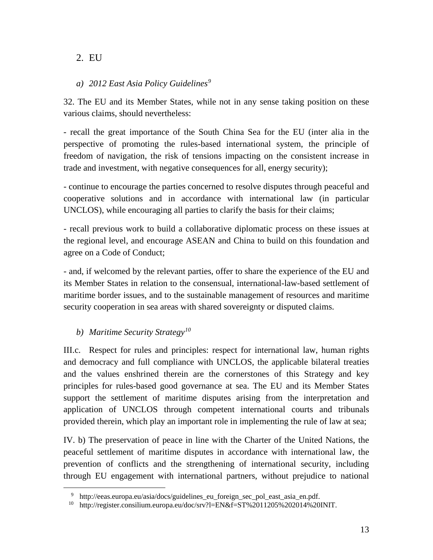# 2. EU

## *a) 2012 East Asia Policy Guidelines[9](#page-12-0)*

32. The EU and its Member States, while not in any sense taking position on these various claims, should nevertheless:

- recall the great importance of the South China Sea for the EU (inter alia in the perspective of promoting the rules-based international system, the principle of freedom of navigation, the risk of tensions impacting on the consistent increase in trade and investment, with negative consequences for all, energy security);

- continue to encourage the parties concerned to resolve disputes through peaceful and cooperative solutions and in accordance with international law (in particular UNCLOS), while encouraging all parties to clarify the basis for their claims;

- recall previous work to build a collaborative diplomatic process on these issues at the regional level, and encourage ASEAN and China to build on this foundation and agree on a Code of Conduct;

- and, if welcomed by the relevant parties, offer to share the experience of the EU and its Member States in relation to the consensual, international-law-based settlement of maritime border issues, and to the sustainable management of resources and maritime security cooperation in sea areas with shared sovereignty or disputed claims.

# *b) Maritime Security Strategy[10](#page-12-1)*

III.c. Respect for rules and principles: respect for international law, human rights and democracy and full compliance with UNCLOS, the applicable bilateral treaties and the values enshrined therein are the cornerstones of this Strategy and key principles for rules-based good governance at sea. The EU and its Member States support the settlement of maritime disputes arising from the interpretation and application of UNCLOS through competent international courts and tribunals provided therein, which play an important role in implementing the rule of law at sea;

IV. b) The preservation of peace in line with the Charter of the United Nations, the peaceful settlement of maritime disputes in accordance with international law, the prevention of conflicts and the strengthening of international security, including through EU engagement with international partners, without prejudice to national

 <sup>9</sup> http://eeas.europa.eu/asia/docs/guidelines\_eu\_foreign\_sec\_pol\_east\_asia\_en.pdf.

<span id="page-12-1"></span><span id="page-12-0"></span><sup>&</sup>lt;sup>10</sup> http://register.consilium.europa.eu/doc/srv?l=EN&f=ST%2011205%202014%20INIT.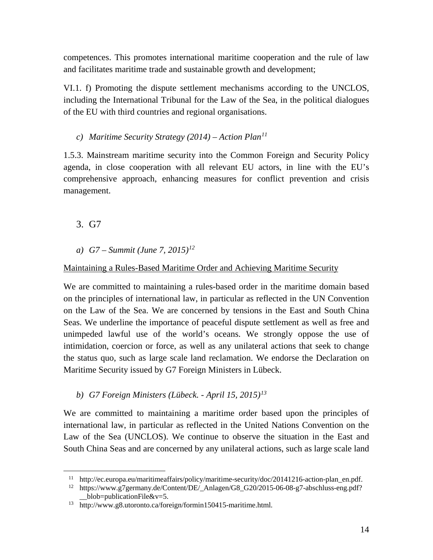competences. This promotes international maritime cooperation and the rule of law and facilitates maritime trade and sustainable growth and development;

VI.1. f) Promoting the dispute settlement mechanisms according to the UNCLOS, including the International Tribunal for the Law of the Sea, in the political dialogues of the EU with third countries and regional organisations.

#### *c) Maritime Security Strategy (2014) – Action Plan[11](#page-13-0)*

1.5.3. Mainstream maritime security into the Common Foreign and Security Policy agenda, in close cooperation with all relevant EU actors, in line with the EU's comprehensive approach, enhancing measures for conflict prevention and crisis management.

- 3. G7
- *a) G7 – Summit (June 7, 2015)[12](#page-13-1)*

## Maintaining a Rules-Based Maritime Order and Achieving Maritime Security

We are committed to maintaining a rules-based order in the maritime domain based on the principles of international law, in particular as reflected in the UN Convention on the Law of the Sea. We are concerned by tensions in the East and South China Seas. We underline the importance of peaceful dispute settlement as well as free and unimpeded lawful use of the world's oceans. We strongly oppose the use of intimidation, coercion or force, as well as any unilateral actions that seek to change the status quo, such as large scale land reclamation. We endorse the Declaration on Maritime Security issued by G7 Foreign Ministers in Lübeck.

*b) G7 Foreign Ministers (Lübeck. - April 15, 2015)[13](#page-13-2)*

We are committed to maintaining a maritime order based upon the principles of international law, in particular as reflected in the United Nations Convention on the Law of the Sea (UNCLOS). We continue to observe the situation in the East and South China Seas and are concerned by any unilateral actions, such as large scale land

<span id="page-13-0"></span> $11$  http://ec.europa.eu/maritimeaffairs/policy/maritime-security/doc/20141216-action-plan en.pdf.

<span id="page-13-1"></span><sup>12</sup> [https://www.g7germany.de/Content/DE/\\_Anlagen/G8\\_G20/2015-06-08-g7-abschluss-eng.pdf?](https://www.g7germany.de/Content/DE/_Anlagen/G8_G20/2015-06-08-g7-abschluss-eng.pdf) \_\_blob=publicationFile&v=5.

<span id="page-13-2"></span><sup>13</sup> http://www.g8.utoronto.ca/foreign/formin150415-maritime.html.